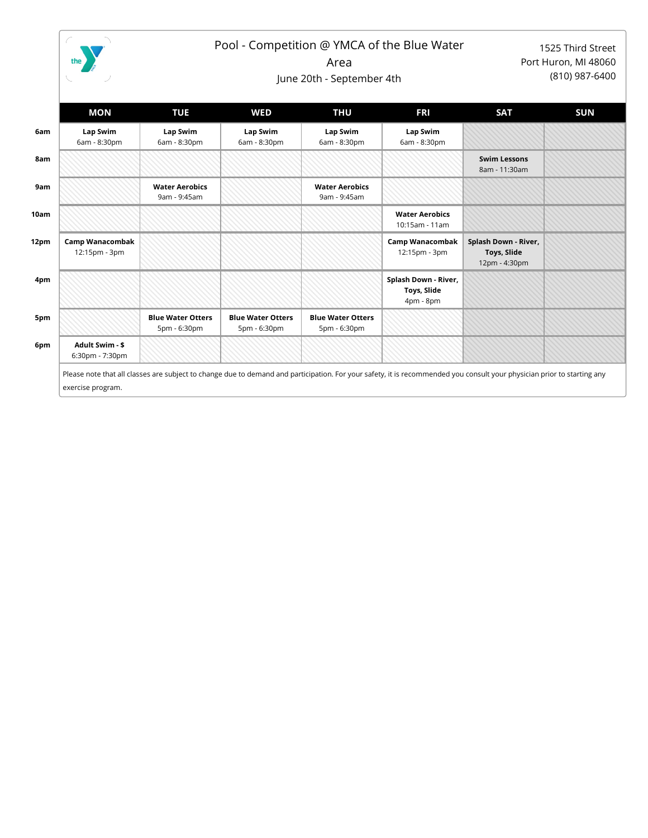

exercise program.

## Pool - Competition @ YMCA of the Blue Water

1525 Third Street Port Huron, MI 48060 (810) 987-6400

Area

June 20th - September 4th

|      | MON                                       | <b>TUE</b>                               | <b>WED</b>                               | <b>THU</b>                               | <b>FRI</b>                                       | <b>SAT</b>                                           | <b>SUN</b> |
|------|-------------------------------------------|------------------------------------------|------------------------------------------|------------------------------------------|--------------------------------------------------|------------------------------------------------------|------------|
| 6am  | Lap Swim<br>6am - 8:30pm                  | Lap Swim<br>6am - 8:30pm                 | Lap Swim<br>6am - 8:30pm                 | Lap Swim<br>6am - 8:30pm                 | Lap Swim<br>6am - 8:30pm                         |                                                      |            |
| 8am  |                                           |                                          |                                          |                                          |                                                  | <b>Swim Lessons</b><br>8am - 11:30am                 |            |
| 9am  |                                           | <b>Water Aerobics</b><br>9am - 9:45am    |                                          | <b>Water Aerobics</b><br>9am - 9:45am    |                                                  |                                                      |            |
| 10am |                                           |                                          |                                          |                                          | <b>Water Aerobics</b><br>10:15am - 11am          |                                                      |            |
| 12pm | Camp Wanacombak<br>12:15pm - 3pm          |                                          |                                          |                                          | Camp Wanacombak<br>12:15pm - 3pm                 | Splash Down - River,<br>Toys, Slide<br>12pm - 4:30pm |            |
| 4pm  |                                           |                                          |                                          |                                          | Splash Down - River,<br>Toys, Slide<br>4pm - 8pm |                                                      |            |
| 5pm  |                                           | <b>Blue Water Otters</b><br>5pm - 6:30pm | <b>Blue Water Otters</b><br>5pm - 6:30pm | <b>Blue Water Otters</b><br>5pm - 6:30pm |                                                  |                                                      |            |
| 6pm  | <b>Adult Swim - \$</b><br>6:30pm - 7:30pm |                                          |                                          |                                          |                                                  |                                                      |            |